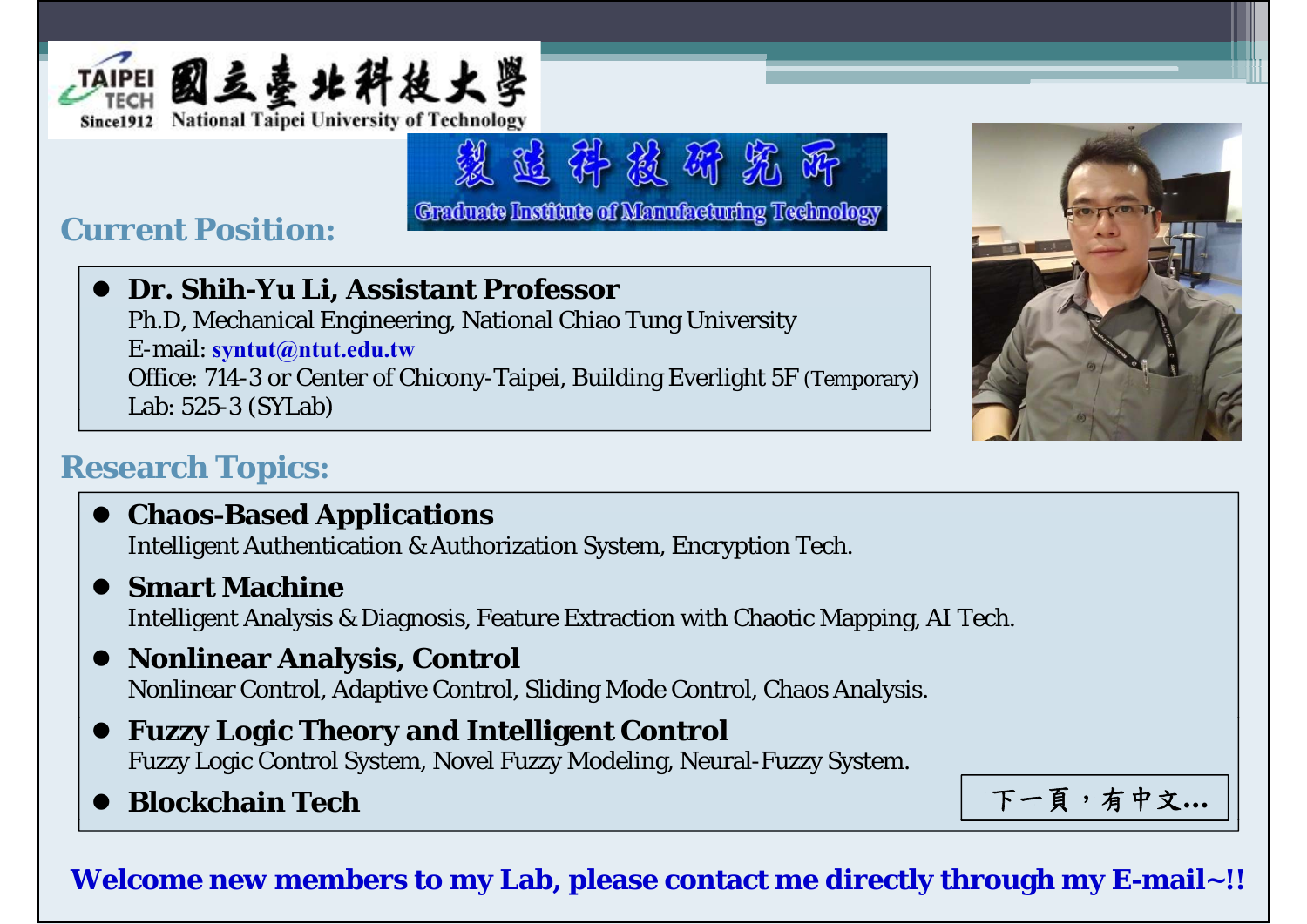

# **Current Position:**

## **Dr. Shih-Yu Li, Assistant Professor**

Ph.D, Mechanical Engineering, National Chiao Tung University E-mail: **syntut@ntut.edu.tw** Office: 714-3 or Center of Chicony-Taipei, Building Everlight 5F (Temporary) Lab: 525-3 (SYLab)

、 适 群 被 矫 然

Graduate Institute of Manufacturing Technology



## **Research Topics:**

- $\bullet$  Chaos-Based Applications Intelligent Authentication & Authorization System, Encryption Tech.
- $\bullet$  **Smart Machine** Intelligent Analysis & Diagnosis, Feature Extraction with Chaotic Mapping, AI Tech.

### **Nonlinear Analysis, Control** Nonlinear Control, Adaptive Control, Sliding Mode Control, Chaos Analysis.

- $\bullet$  **Fuzzy Logic Theory and Intelligent Control** Fuzzy Logic Control System, Novel Fuzzy Modeling, Neural-Fuzzy System.
- $\bullet$

Blockchain Tech **Exercise Exercise Exercise Exercise Exercise Exercise Exercise T** 

### **Welcome new members to my Lab, please contact me directly through my E-mail~!!**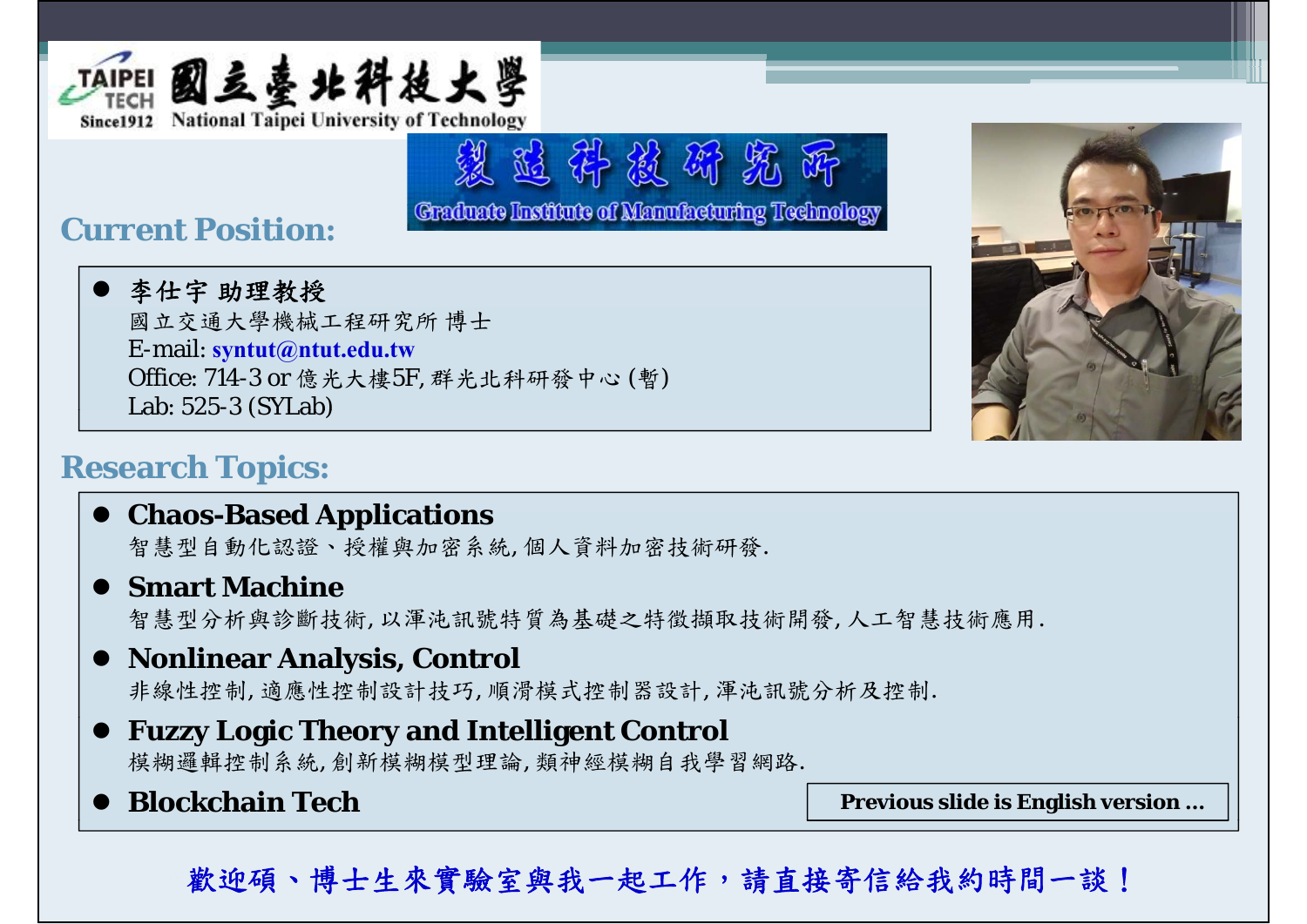

## **Current Position:**

 李仕宇 助理教授 國立交通大學機械工程研究所 博士 E-mail: **syntut@ntut.edu.tw** Office: 714-3 or 億光大樓5F, 群光北科研發中心 (暫) Lab: 525-3 (SYLab)



## **Research Topics:**

### $\bullet$  Chaos-Based Applications

智慧型自動化認證、授權與加密系統, 個人資料加密技術研發.

#### $\bullet$  **Smart Machine**

智慧型分析與診斷技術, 以渾沌訊號特質為基礎之特徵擷取技術開發, 人工智慧技術應用.

望适井被研究所

Graduate Institute of Manufacturing Technology

#### **Nonlinear Analysis, Control**

非線性控制, 適應性控制設計技巧, 順滑模式控制器設計, 渾沌訊號分析及控制.

#### **Fuzzy Logic Theory and Intelligent Control** 模糊邏輯控制系統, 創新模糊模型理論, 類神經模糊自我學習網路.

• Blockchain Tech

**Previous slide is English version ...** 

歡迎碩、博士生來實驗室與我一起工作,請直接寄信給我約時間一談!